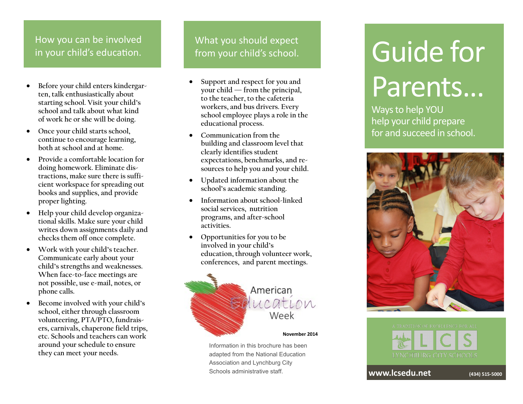#### $H_{OMV}$  you can be inve  $\frac{110W}{10}$ How you can be involved in your child's education.

- **Before your child enters kindergarten, talk enthusiastically about starting school. Visit your child's school and talk about what kind of work he or she will be doing.**
- **Once your child starts school, continue to encourage learning, both at school and at home.**
- **Provide a comfortable location for doing homework. Eliminate distractions, make sure there is sufficient workspace for spreading out books and supplies, and provide proper lighting.**
- **Help your child develop organizational skills. Make sure your child writes down assignments daily and checks them off once complete.**
- **Work with your child's teacher. Communicate early about your child's strengths and weaknesses. When face-to-face meetings are not possible, use e-mail, notes, or phone calls.**
- **Become involved with your child's school, either through classroom volunteering, PTA/PTO, fundraisers, carnivals, chaperone field trips, etc. Schools and teachers can work around your schedule to ensure they can meet your needs.**

What you should expect from your child's school.

- **Support and respect for you and your child — from the principal, to the teacher, to the cafeteria workers, and bus drivers. Every school employee plays a role in the educational process.**
- **Communication from the building and classroom level that clearly identifies student expectations, benchmarks, and resources to help you and your child.**
- **Updated information about the school's academic standing.**
- **Information about school-linked social services, nutrition programs, and after-school activities.**
- **Opportunities for you to be involved in your child's education, through volunteer work, conferences, and parent meetings.**



Information in this brochure has been adapted from the National Education Association and Lynchburg City Schools administrative staff.

# Guide for Parents...

Ways to help YOU help your child prepare for and succeed in school.





**www.lcsedu.net (434) 515-<sup>5000</sup>**